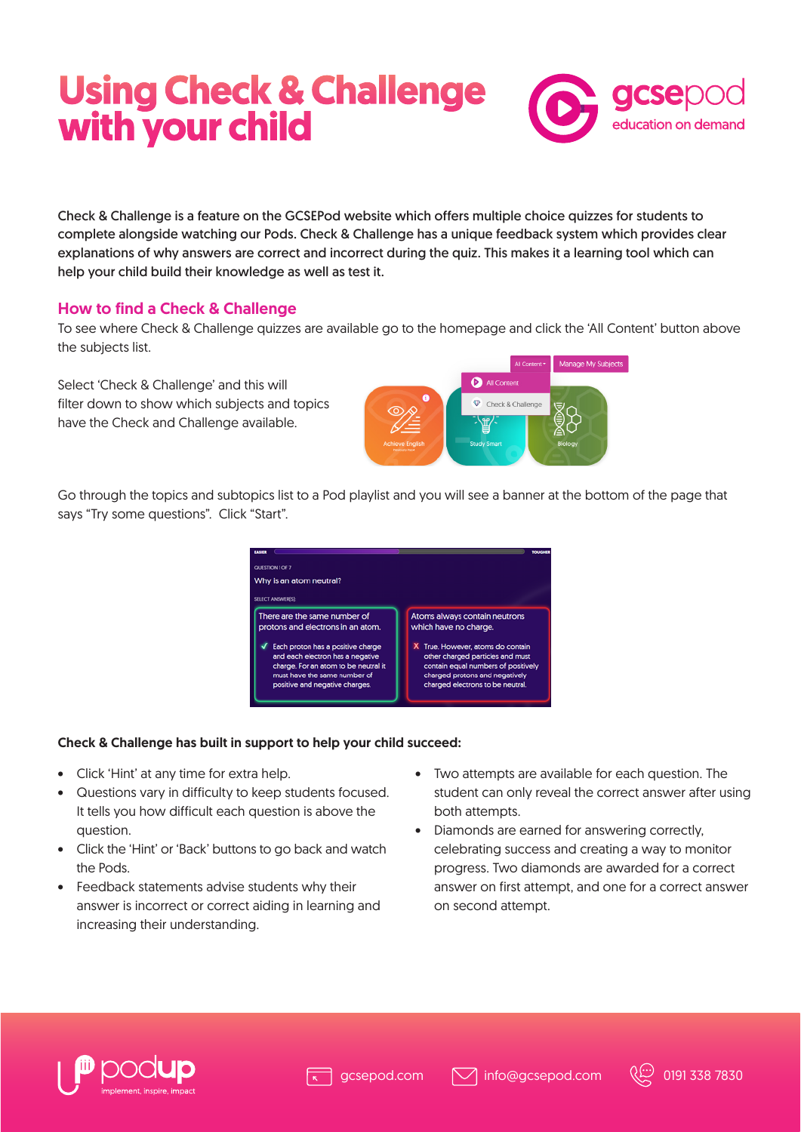# **Using Check & Challenge with your child**



Check & Challenge is a feature on the GCSEPod website which offers multiple choice quizzes for students to complete alongside watching our Pods. Check & Challenge has a unique feedback system which provides clear explanations of why answers are correct and incorrect during the quiz. This makes it a learning tool which can help your child build their knowledge as well as test it.

## How to find a Check & Challenge

To see where Check & Challenge quizzes are available go to the homepage and click the 'All Content' button above the subjects list.

Select 'Check & Challenge' and this will filter down to show which subjects and topics have the Check and Challenge available.



Go through the topics and subtopics list to a Pod playlist and you will see a banner at the bottom of the page that says "Try some questions". Click "Start".



#### Check & Challenge has built in support to help your child succeed:

- Click 'Hint' at any time for extra help.
- Questions vary in difficulty to keep students focused. It tells you how difficult each question is above the question.
- Click the 'Hint' or 'Back' buttons to go back and watch the Pods.
- Feedback statements advise students why their answer is incorrect or correct aiding in learning and increasing their understanding.
- Two attempts are available for each question. The student can only reveal the correct answer after using both attempts.
- Diamonds are earned for answering correctly, celebrating success and creating a way to monitor progress. Two diamonds are awarded for a correct answer on first attempt, and one for a correct answer on second attempt.



 $\boxdot$  info@gcsepod.com  $\langle\langle\ddot{\ddot{\psi}}\rangle$  0191 338 7830